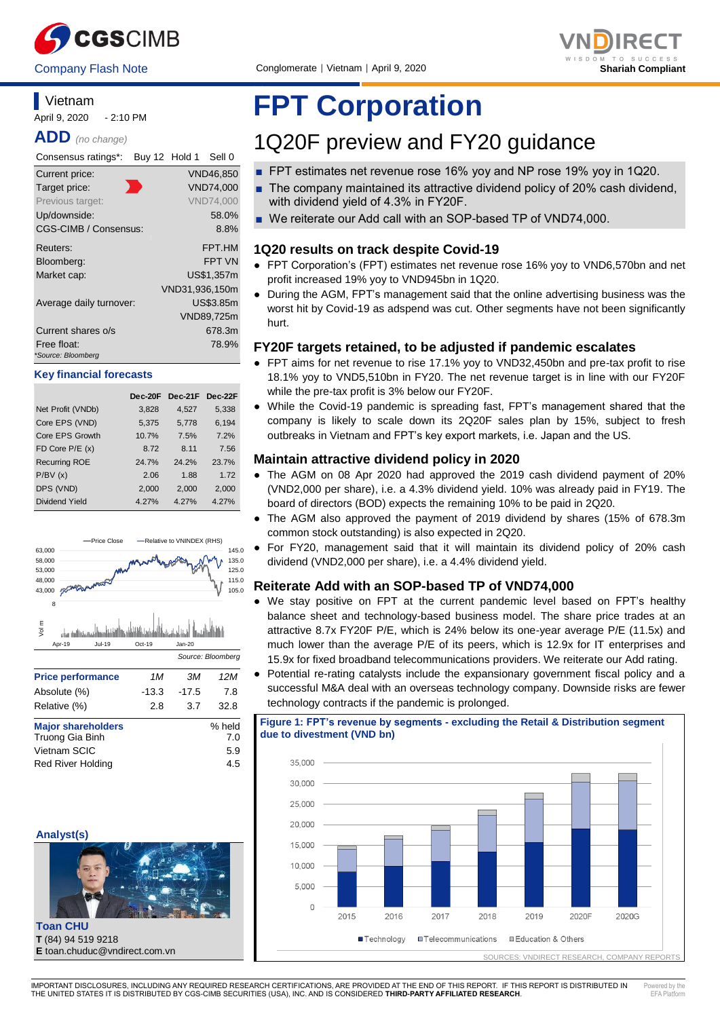



# **Vietnam**

April 9, 2020 - 2:10 PM

**ADD** *(no change)*

| Consensus ratings*:               | Buy 12 Hold 1 |                | Sell 0           |
|-----------------------------------|---------------|----------------|------------------|
| Current price:                    |               |                | <b>VND46,850</b> |
| Target price:                     |               |                | <b>VND74,000</b> |
| Previous target:                  |               |                | <b>VND74.000</b> |
| Up/downside:                      |               |                | 58.0%            |
| CGS-CIMB / Consensus:             |               |                | 8.8%             |
| Reuters:                          |               |                | FPT.HM           |
| Bloomberg:                        |               |                | <b>FPT VN</b>    |
| Market cap:                       |               |                | US\$1,357m       |
|                                   |               | VND31.936.150m |                  |
| Average daily turnover:           |               |                | US\$3.85m        |
|                                   |               |                | VND89,725m       |
| Current shares o/s                |               |                | 678.3m           |
| Free float:<br>*Source: Bloomberg |               |                | 78.9%            |

#### **Key financial forecasts**

|                      | Dec-20F | Dec-21F Dec-22F |       |
|----------------------|---------|-----------------|-------|
| Net Profit (VNDb)    | 3,828   | 4,527           | 5,338 |
| Core EPS (VND)       | 5,375   | 5,778           | 6,194 |
| Core EPS Growth      | 10.7%   | 7.5%            | 7.2%  |
| FD Core $P/E(x)$     | 8.72    | 8.11            | 7.56  |
| <b>Recurring ROE</b> | 24.7%   | 24.2%           | 23.7% |
| P/BV(x)              | 2.06    | 1.88            | 1.72  |
| DPS (VND)            | 2,000   | 2,000           | 2,000 |
| Dividend Yield       | 4.27%   | 4.27%           | 4.27% |



#### **Analyst(s)**



**Toan CHU T** (84) 94 519 9218 **E** toan.chuduc@vndirect.com.vn

# **FPT Corporation**

# 1Q20F preview and FY20 guidance

- FPT estimates net revenue rose 16% yoy and NP rose 19% yoy in 1Q20.
- The company maintained its attractive dividend policy of 20% cash dividend, with dividend yield of 4.3% in FY20F.
- We reiterate our Add call with an SOP-based TP of VND74,000.

#### **1Q20 results on track despite Covid-19**

- FPT Corporation's (FPT) estimates net revenue rose 16% yoy to VND6,570bn and net profit increased 19% yoy to VND945bn in 1Q20.
- During the AGM, FPT's management said that the online advertising business was the worst hit by Covid-19 as adspend was cut. Other segments have not been significantly hurt.

#### **FY20F targets retained, to be adjusted if pandemic escalates**

- FPT aims for net revenue to rise 17.1% yoy to VND32,450bn and pre-tax profit to rise 18.1% yoy to VND5,510bn in FY20. The net revenue target is in line with our FY20F while the pre-tax profit is 3% below our FY20F.
- While the Covid-19 pandemic is spreading fast, FPT's management shared that the company is likely to scale down its 2Q20F sales plan by 15%, subject to fresh outbreaks in Vietnam and FPT's key export markets, i.e. Japan and the US.

#### **Maintain attractive dividend policy in 2020**

- The AGM on 08 Apr 2020 had approved the 2019 cash dividend payment of 20% (VND2,000 per share), i.e. a 4.3% dividend yield. 10% was already paid in FY19. The board of directors (BOD) expects the remaining 10% to be paid in 2Q20.
- The AGM also approved the payment of 2019 dividend by shares (15% of 678.3m common stock outstanding) is also expected in 2Q20.
- For FY20, management said that it will maintain its dividend policy of 20% cash dividend (VND2,000 per share), i.e. a 4.4% dividend yield.

### **Reiterate Add with an SOP-based TP of VND74,000**

- We stay positive on FPT at the current pandemic level based on FPT's healthy balance sheet and technology-based business model. The share price trades at an attractive 8.7x FY20F P/E, which is 24% below its one-year average P/E (11.5x) and much lower than the average P/E of its peers, which is 12.9x for IT enterprises and 15.9x for fixed broadband telecommunications providers. We reiterate our Add rating.
- Potential re-rating catalysts include the expansionary government fiscal policy and a successful M&A deal with an overseas technology company. Downside risks are fewer technology contracts if the pandemic is prolonged.

**Figure 1: FPT's revenue by segments - excluding the Retail & Distribution segment due to divestment (VND bn)**



IMPORTANT DISCLOSURES, INCLUDING ANY REQUIRED RESEARCH CERTIFICATIONS, ARE PROVIDED AT THE END OF THIS REPORT. IF THIS REPORT IS DISTRIBUTED IN THE UNITED STATES IT IS DISTRIBUTED BY CGS-CIMB SECURITIES (USA), INC. AND IS CONSIDERED **THIRD-PARTY AFFILIATED RESEARCH**. Powered by the EEA DIA

٦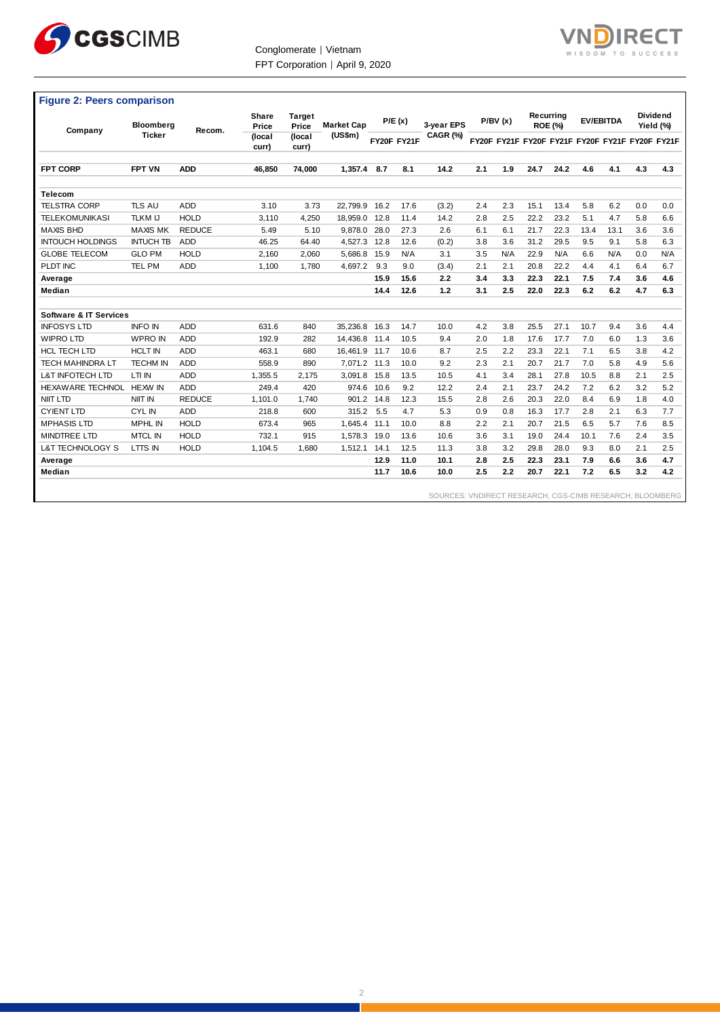



# **Figure 2: Peers comparison**

| Company                           | Bloomberg        | Recom.        | Share<br>Price  | <b>Target</b><br>Price | <b>Market Cap</b> |      | P/E(x)      | 3-vear EPS |     | P/BV(x) |      | Recurrina<br><b>ROE (%)</b> |      | <b>EV/EBITDA</b> |     | <b>Dividend</b><br>Yield (%)                    |
|-----------------------------------|------------------|---------------|-----------------|------------------------|-------------------|------|-------------|------------|-----|---------|------|-----------------------------|------|------------------|-----|-------------------------------------------------|
|                                   | <b>Ticker</b>    |               | (local<br>curr) | (local<br>curr)        | (US\$m)           |      | FY20F FY21F | CAGR (%)   |     |         |      |                             |      |                  |     | FY20F FY21F FY20F FY21F FY20F FY21F FY20F FY21F |
| <b>FPT CORP</b>                   | <b>FPT VN</b>    | <b>ADD</b>    | 46,850          | 74,000                 | 1.357.4           | 8.7  | 8.1         | 14.2       | 2.1 | 1.9     | 24.7 | 24.2                        | 4.6  | 4.1              | 4.3 | 4.3                                             |
| <b>Telecom</b>                    |                  |               |                 |                        |                   |      |             |            |     |         |      |                             |      |                  |     |                                                 |
| <b>TELSTRA CORP</b>               | <b>TLS AU</b>    | <b>ADD</b>    | 3.10            | 3.73                   | 22.799.9          | 16.2 | 17.6        | (3.2)      | 2.4 | 2.3     | 15.1 | 13.4                        | 5.8  | 6.2              | 0.0 | 0.0                                             |
| <b>TELEKOMUNIKASI</b>             | <b>TLKM IJ</b>   | <b>HOLD</b>   | 3,110           | 4,250                  | 18.959.0          | 12.8 | 11.4        | 14.2       | 2.8 | 2.5     | 22.2 | 23.2                        | 5.1  | 4.7              | 5.8 | 6.6                                             |
| <b>MAXIS BHD</b>                  | <b>MAXIS MK</b>  | <b>REDUCE</b> | 5.49            | 5.10                   | 9,878.0           | 28.0 | 27.3        | 2.6        | 6.1 | 6.1     | 21.7 | 22.3                        | 13.4 | 13.1             | 3.6 | 3.6                                             |
| <b>INTOUCH HOLDINGS</b>           | <b>INTUCH TB</b> | <b>ADD</b>    | 46.25           | 64.40                  | 4,527.3           | 12.8 | 12.6        | (0.2)      | 3.8 | 3.6     | 31.2 | 29.5                        | 9.5  | 9.1              | 5.8 | 6.3                                             |
| <b>GLOBE TELECOM</b>              | <b>GLO PM</b>    | <b>HOLD</b>   | 2,160           | 2,060                  | 5,686.8           | 15.9 | N/A         | 3.1        | 3.5 | N/A     | 22.9 | N/A                         | 6.6  | N/A              | 0.0 | N/A                                             |
| PLDT INC                          | <b>TEL PM</b>    | <b>ADD</b>    | 1,100           | 1.780                  | 4.697.2           | 9.3  | 9.0         | (3.4)      | 2.1 | 2.1     | 20.8 | 22.2                        | 4.4  | 4.1              | 6.4 | 6.7                                             |
| Average                           |                  |               |                 |                        |                   | 15.9 | 15.6        | 2.2        | 3.4 | 3.3     | 22.3 | 22.1                        | 7.5  | 7.4              | 3.6 | 4.6                                             |
| Median                            |                  |               |                 |                        |                   | 14.4 | 12.6        | 1.2        | 3.1 | 2.5     | 22.0 | 22.3                        | 6.2  | 6.2              | 4.7 | 6.3                                             |
|                                   |                  |               |                 |                        |                   |      |             |            |     |         |      |                             |      |                  |     |                                                 |
| <b>Software &amp; IT Services</b> |                  |               |                 |                        |                   |      |             |            |     |         |      |                             |      |                  |     |                                                 |
| <b>INFOSYS LTD</b>                | <b>INFO IN</b>   | <b>ADD</b>    | 631.6           | 840                    | 35.236.8 16.3     |      | 14.7        | 10.0       | 4.2 | 3.8     | 25.5 | 27.1                        | 10.7 | 9.4              | 3.6 | 4.4                                             |
| <b>WIPRO LTD</b>                  | <b>WPRO IN</b>   | <b>ADD</b>    | 192.9           | 282                    | 14.436.8 11.4     |      | 10.5        | 9.4        | 2.0 | 1.8     | 17.6 | 17.7                        | 7.0  | 6.0              | 1.3 | 3.6                                             |
| <b>HCL TECH LTD</b>               | <b>HCLT IN</b>   | <b>ADD</b>    | 463.1           | 680                    | 16,461.9          | 11.7 | 10.6        | 8.7        | 2.5 | 2.2     | 23.3 | 22.1                        | 7.1  | 6.5              | 3.8 | 4.2                                             |
| <b>TECH MAHINDRA LT</b>           | <b>TECHM IN</b>  | <b>ADD</b>    | 558.9           | 890                    | 7,071.2 11.3      |      | 10.0        | 9.2        | 2.3 | 2.1     | 20.7 | 21.7                        | 7.0  | 5.8              | 4.9 | 5.6                                             |
| <b>L&amp;T INFOTECH LTD</b>       | LTI IN           | <b>ADD</b>    | 1.355.5         | 2.175                  | 3.091.8           | 15.8 | 13.5        | 10.5       | 4.1 | 3.4     | 28.1 | 27.8                        | 10.5 | 8.8              | 2.1 | 2.5                                             |
| HEXAWARE TECHNOL HEXW IN          |                  | <b>ADD</b>    | 249.4           | 420                    | 974.6             | 10.6 | 9.2         | 12.2       | 2.4 | 2.1     | 23.7 | 24.2                        | 7.2  | 6.2              | 3.2 | 5.2                                             |
| NIIT LTD                          | NIIT IN          | <b>REDUCE</b> | 1.101.0         | 1.740                  | 901.2             | 14.8 | 12.3        | 15.5       | 2.8 | 2.6     | 20.3 | 22.0                        | 8.4  | 6.9              | 1.8 | 4.0                                             |
| <b>CYIENT LTD</b>                 | <b>CYLIN</b>     | <b>ADD</b>    | 218.8           | 600                    | 315.2             | 5.5  | 4.7         | 5.3        | 0.9 | 0.8     | 16.3 | 17.7                        | 2.8  | 2.1              | 6.3 | 7.7                                             |
| <b>MPHASIS LTD</b>                | <b>MPHL IN</b>   | <b>HOLD</b>   | 673.4           | 965                    | 1.645.4           | 11.1 | 10.0        | 8.8        | 2.2 | 2.1     | 20.7 | 21.5                        | 6.5  | 5.7              | 7.6 | 8.5                                             |
| <b>MINDTREE LTD</b>               | <b>MTCL IN</b>   | <b>HOLD</b>   | 732.1           | 915                    | 1.578.3 19.0      |      | 13.6        | 10.6       | 3.6 | 3.1     | 19.0 | 24.4                        | 10.1 | 7.6              | 2.4 | 3.5                                             |
| L&T TECHNOLOGY S                  | LTTS IN          | <b>HOLD</b>   | 1.104.5         | 1.680                  | 1.512.1           | 14.1 | 12.5        | 11.3       | 3.8 | 3.2     | 29.8 | 28.0                        | 9.3  | 8.0              | 2.1 | 2.5                                             |
| Average                           |                  |               |                 |                        |                   | 12.9 | 11.0        | 10.1       | 2.8 | 2.5     | 22.3 | 23.1                        | 7.9  | 6.6              | 3.6 | 4.7                                             |
| Median                            |                  |               |                 |                        |                   | 11.7 | 10.6        | 10.0       | 2.5 | 2.2     | 20.7 | 22.1                        | 7.2  | 6.5              | 3.2 | 4.2                                             |
|                                   |                  |               |                 |                        |                   |      |             |            |     |         |      |                             |      |                  |     |                                                 |

SOURCES: VNDIRECT RESEARCH, CGS-CIMB RESEARCH, BLOOMBERG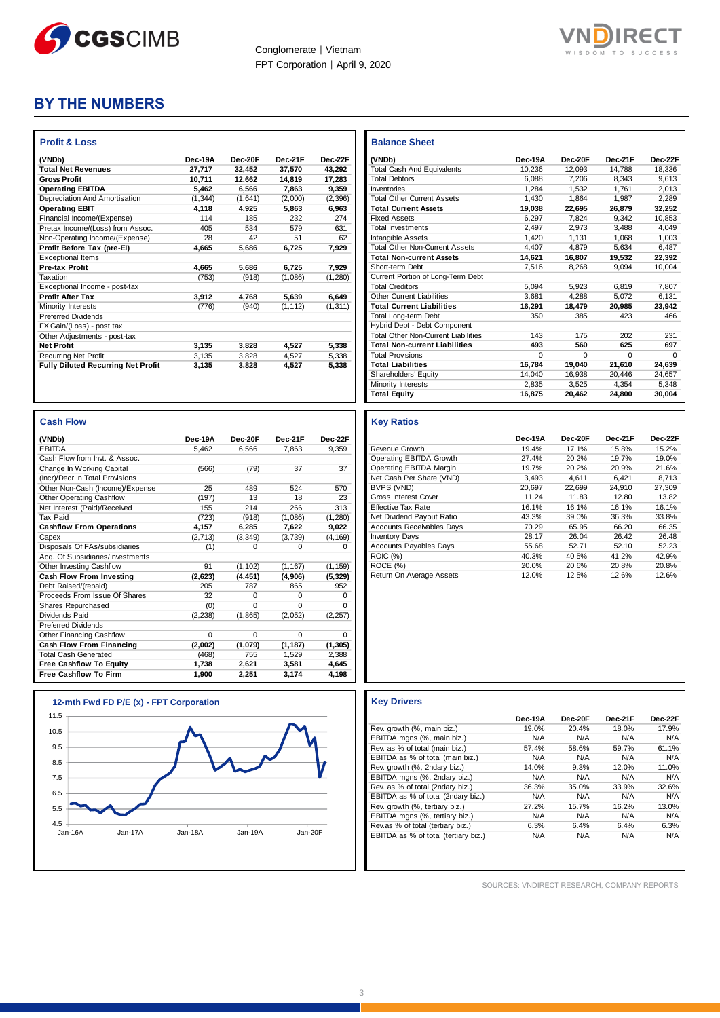

Г



# **BY THE NUMBERS**

| (VNDb)                                    | Dec-19A  | Dec-20F | Dec-21F  | Dec-22F  |
|-------------------------------------------|----------|---------|----------|----------|
| <b>Total Net Revenues</b>                 | 27.717   | 32.452  | 37.570   | 43.292   |
| <b>Gross Profit</b>                       | 10.711   | 12.662  | 14,819   | 17,283   |
| <b>Operating EBITDA</b>                   | 5,462    | 6,566   | 7,863    | 9,359    |
| Depreciation And Amortisation             | (1, 344) | (1,641) | (2,000)  | (2, 396) |
| <b>Operating EBIT</b>                     | 4,118    | 4,925   | 5,863    | 6,963    |
| Financial Income/(Expense)                | 114      | 185     | 232      | 274      |
| Pretax Income/(Loss) from Assoc.          | 405      | 534     | 579      | 631      |
| Non-Operating Income/(Expense)            | 28       | 42      | 51       | 62       |
| Profit Before Tax (pre-EI)                | 4.665    | 5,686   | 6,725    | 7,929    |
| <b>Exceptional Items</b>                  |          |         |          |          |
| <b>Pre-tax Profit</b>                     | 4.665    | 5.686   | 6,725    | 7,929    |
| Taxation                                  | (753)    | (918)   | (1.086)  | (1, 280) |
| Exceptional Income - post-tax             |          |         |          |          |
| <b>Profit After Tax</b>                   | 3.912    | 4.768   | 5.639    | 6.649    |
| Minority Interests                        | (776)    | (940)   | (1, 112) | (1, 311) |
| <b>Preferred Dividends</b>                |          |         |          |          |
| FX Gain/(Loss) - post tax                 |          |         |          |          |
| Other Adjustments - post-tax              |          |         |          |          |
| <b>Net Profit</b>                         | 3.135    | 3,828   | 4,527    | 5,338    |
| <b>Recurring Net Profit</b>               | 3,135    | 3,828   | 4,527    | 5,338    |
| <b>Fully Diluted Recurring Net Profit</b> | 3,135    | 3,828   | 4,527    | 5,338    |

| <b>Cash Flow</b>                 |          |          |          |          |
|----------------------------------|----------|----------|----------|----------|
| (VNDb)                           | Dec-19A  | Dec-20F  | Dec-21F  | Dec-22F  |
| <b>EBITDA</b>                    | 5.462    | 6.566    | 7.863    | 9.359    |
| Cash Flow from Invt. & Assoc.    |          |          |          |          |
| Change In Working Capital        | (566)    | (79)     | 37       | 37       |
| (Incr)/Decr in Total Provisions  |          |          |          |          |
| Other Non-Cash (Income)/Expense  | 25       | 489      | 524      | 570      |
| Other Operating Cashflow         | (197)    | 13       | 18       | 23       |
| Net Interest (Paid)/Received     | 155      | 214      | 266      | 313      |
| <b>Tax Paid</b>                  | (723)    | (918)    | (1,086)  | (1, 280) |
| <b>Cashflow From Operations</b>  | 4,157    | 6,285    | 7,622    | 9,022    |
| Capex                            | (2,713)  | (3, 349) | (3,739)  | (4, 169) |
| Disposals Of FAs/subsidiaries    | (1)      | $\Omega$ | $\Omega$ | $\Omega$ |
| Acq. Of Subsidiaries/investments |          |          |          |          |
| Other Investing Cashflow         | 91       | (1, 102) | (1, 167) | (1, 159) |
| Cash Flow From Investing         | (2,623)  | (4, 451) | (4,906)  | (5, 329) |
| Debt Raised/(repaid)             | 205      | 787      | 865      | 952      |
| Proceeds From Issue Of Shares    | 32       | $\Omega$ | $\Omega$ | 0        |
| Shares Repurchased               | (0)      | $\Omega$ | $\Omega$ | 0        |
| Dividends Paid                   | (2, 238) | (1,865)  | (2,052)  | (2, 257) |
| <b>Preferred Dividends</b>       |          |          |          |          |
| Other Financing Cashflow         | $\Omega$ | $\Omega$ | $\Omega$ | $\Omega$ |
| Cash Flow From Financing         | (2,002)  | (1,079)  | (1, 187) | (1, 305) |
| <b>Total Cash Generated</b>      | (468)    | 755      | 1.529    | 2,388    |
| <b>Free Cashflow To Equity</b>   | 1.738    | 2,621    | 3,581    | 4,645    |
| <b>Free Cashflow To Firm</b>     | 1,900    | 2,251    | 3,174    | 4,198    |



| <b>Balance Sheet</b>                       |         |          |          |              |
|--------------------------------------------|---------|----------|----------|--------------|
| (VNDb)                                     | Dec-19A | Dec-20E  | Dec-21F  | Dec-22F      |
| <b>Total Cash And Equivalents</b>          | 10.236  | 12.093   | 14.788   | 18.336       |
| <b>Total Debtors</b>                       | 6.088   | 7.206    | 8.343    | 9.613        |
| Inventories                                | 1.284   | 1.532    | 1.761    | 2.013        |
| <b>Total Other Current Assets</b>          | 1.430   | 1.864    | 1.987    | 2.289        |
| <b>Total Current Assets</b>                | 19,038  | 22.695   | 26.879   | 32,252       |
| <b>Fixed Assets</b>                        | 6.297   | 7.824    | 9.342    | 10.853       |
| <b>Total Investments</b>                   | 2.497   | 2.973    | 3.488    | 4.049        |
| Intangible Assets                          | 1.420   | 1.131    | 1.068    | 1.003        |
| <b>Total Other Non-Current Assets</b>      | 4.407   | 4.879    | 5.634    | 6,487        |
| <b>Total Non-current Assets</b>            | 14.621  | 16.807   | 19.532   | 22.392       |
| Short-term Debt                            | 7,516   | 8.268    | 9.094    | 10.004       |
| Current Portion of Long-Term Debt          |         |          |          |              |
| <b>Total Creditors</b>                     | 5.094   | 5.923    | 6.819    | 7.807        |
| <b>Other Current Liabilities</b>           | 3.681   | 4.288    | 5.072    | 6,131        |
| <b>Total Current Liabilities</b>           | 16,291  | 18.479   | 20,985   | 23,942       |
| Total Long-term Debt                       | 350     | 385      | 423      | 466          |
| Hybrid Debt - Debt Component               |         |          |          |              |
| <b>Total Other Non-Current Liabilities</b> | 143     | 175      | 202      | 231          |
| <b>Total Non-current Liabilities</b>       | 493     | 560      | 625      | 697          |
| <b>Total Provisions</b>                    | 0       | $\Omega$ | $\Omega$ | <sup>0</sup> |
| <b>Total Liabilities</b>                   | 16.784  | 19.040   | 21,610   | 24,639       |
| Shareholders' Equity                       | 14.040  | 16.938   | 20.446   | 24.657       |
| Minority Interests                         | 2.835   | 3.525    | 4.354    | 5.348        |
| <b>Total Equity</b>                        | 16,875  | 20,462   | 24,800   | 30,004       |

#### **Key Ratios**

|                                  | Dec-19A | Dec-20F | Dec-21F | Dec-22F |
|----------------------------------|---------|---------|---------|---------|
| Revenue Growth                   | 19.4%   | 17.1%   | 15.8%   | 15.2%   |
| Operating EBITDA Growth          | 27.4%   | 20.2%   | 19.7%   | 19.0%   |
| Operating EBITDA Margin          | 19.7%   | 20.2%   | 20.9%   | 21.6%   |
| Net Cash Per Share (VND)         | 3.493   | 4.611   | 6.421   | 8.713   |
| BVPS (VND)                       | 20.697  | 22.699  | 24.910  | 27.309  |
| Gross Interest Cover             | 11.24   | 11.83   | 12.80   | 13.82   |
| Effective Tax Rate               | 16.1%   | 16.1%   | 16.1%   | 16.1%   |
| Net Dividend Payout Ratio        | 43.3%   | 39.0%   | 36.3%   | 33.8%   |
| <b>Accounts Receivables Days</b> | 70.29   | 65.95   | 66.20   | 66.35   |
| <b>Inventory Days</b>            | 28.17   | 26.04   | 26.42   | 26.48   |
| <b>Accounts Payables Days</b>    | 55.68   | 52.71   | 52.10   | 52.23   |
| <b>ROIC (%)</b>                  | 40.3%   | 40.5%   | 41.2%   | 42.9%   |
| ROCE (%)                         | 20.0%   | 20.6%   | 20.8%   | 20.8%   |
| Return On Average Assets         | 12.0%   | 12.5%   | 12.6%   | 12.6%   |

|                                      | Dec-19A | Dec-20F | Dec-21F | Dec-22F |
|--------------------------------------|---------|---------|---------|---------|
| Rev. growth (%, main biz.)           | 19.0%   | 20.4%   | 18.0%   | 17.9%   |
| EBITDA mgns (%, main biz.)           | N/A     | N/A     | N/A     | N/A     |
| Rev. as % of total (main biz.)       | 57.4%   | 58.6%   | 59.7%   | 61.1%   |
| EBITDA as % of total (main biz.)     | N/A     | N/A     | N/A     | N/A     |
| Rev. growth (%, 2ndary biz.)         | 14.0%   | 9.3%    | 12.0%   | 11.0%   |
| EBITDA mgns (%, 2ndary biz.)         | N/A     | N/A     | N/A     | N/A     |
| Rev. as % of total (2ndary biz.)     | 36.3%   | 35.0%   | 33.9%   | 32.6%   |
| EBITDA as % of total (2ndary biz.)   | N/A     | N/A     | N/A     | N/A     |
| Rev. growth (%, tertiary biz.)       | 27.2%   | 15.7%   | 16.2%   | 13.0%   |
| EBITDA mgns (%, tertiary biz.)       | N/A     | N/A     | N/A     | N/A     |
| Rev.as % of total (tertiary biz.)    | 6.3%    | 6.4%    | 6.4%    | 6.3%    |
| EBITDA as % of total (tertiary biz.) | N/A     | N/A     | N/A     | N/A     |

SOURCES: VNDIRECT RESEARCH, COMPANY REPORTS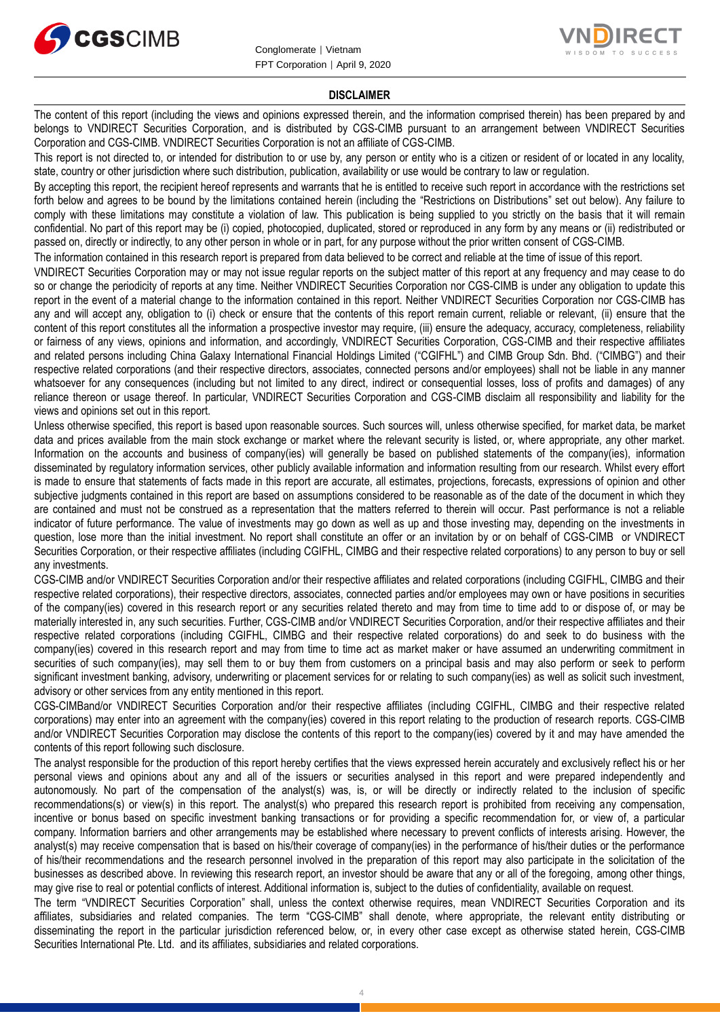



#### **DISCLAIMER**

The content of this report (including the views and opinions expressed therein, and the information comprised therein) has been prepared by and belongs to VNDIRECT Securities Corporation, and is distributed by CGS-CIMB pursuant to an arrangement between VNDIRECT Securities Corporation and CGS-CIMB. VNDIRECT Securities Corporation is not an affiliate of CGS-CIMB.

This report is not directed to, or intended for distribution to or use by, any person or entity who is a citizen or resident of or located in any locality, state, country or other jurisdiction where such distribution, publication, availability or use would be contrary to law or regulation.

By accepting this report, the recipient hereof represents and warrants that he is entitled to receive such report in accordance with the restrictions set forth below and agrees to be bound by the limitations contained herein (including the "Restrictions on Distributions" set out below). Any failure to comply with these limitations may constitute a violation of law. This publication is being supplied to you strictly on the basis that it will remain confidential. No part of this report may be (i) copied, photocopied, duplicated, stored or reproduced in any form by any means or (ii) redistributed or passed on, directly or indirectly, to any other person in whole or in part, for any purpose without the prior written consent of CGS-CIMB.

The information contained in this research report is prepared from data believed to be correct and reliable at the time of issue of this report.

VNDIRECT Securities Corporation may or may not issue regular reports on the subject matter of this report at any frequency and may cease to do so or change the periodicity of reports at any time. Neither VNDIRECT Securities Corporation nor CGS-CIMB is under any obligation to update this report in the event of a material change to the information contained in this report. Neither VNDIRECT Securities Corporation nor CGS-CIMB has any and will accept any, obligation to (i) check or ensure that the contents of this report remain current, reliable or relevant, (ii) ensure that the content of this report constitutes all the information a prospective investor may require, (iii) ensure the adequacy, accuracy, completeness, reliability or fairness of any views, opinions and information, and accordingly, VNDIRECT Securities Corporation, CGS-CIMB and their respective affiliates and related persons including China Galaxy International Financial Holdings Limited ("CGIFHL") and CIMB Group Sdn. Bhd. ("CIMBG") and their respective related corporations (and their respective directors, associates, connected persons and/or employees) shall not be liable in any manner whatsoever for any consequences (including but not limited to any direct, indirect or consequential losses, loss of profits and damages) of any reliance thereon or usage thereof. In particular, VNDIRECT Securities Corporation and CGS-CIMB disclaim all responsibility and liability for the views and opinions set out in this report.

Unless otherwise specified, this report is based upon reasonable sources. Such sources will, unless otherwise specified, for market data, be market data and prices available from the main stock exchange or market where the relevant security is listed, or, where appropriate, any other market. Information on the accounts and business of company(ies) will generally be based on published statements of the company(ies), information disseminated by regulatory information services, other publicly available information and information resulting from our research. Whilst every effort is made to ensure that statements of facts made in this report are accurate, all estimates, projections, forecasts, expressions of opinion and other subjective judgments contained in this report are based on assumptions considered to be reasonable as of the date of the document in which they are contained and must not be construed as a representation that the matters referred to therein will occur. Past performance is not a reliable indicator of future performance. The value of investments may go down as well as up and those investing may, depending on the investments in question, lose more than the initial investment. No report shall constitute an offer or an invitation by or on behalf of CGS-CIMB or VNDIRECT Securities Corporation, or their respective affiliates (including CGIFHL, CIMBG and their respective related corporations) to any person to buy or sell any investments.

CGS-CIMB and/or VNDIRECT Securities Corporation and/or their respective affiliates and related corporations (including CGIFHL, CIMBG and their respective related corporations), their respective directors, associates, connected parties and/or employees may own or have positions in securities of the company(ies) covered in this research report or any securities related thereto and may from time to time add to or dispose of, or may be materially interested in, any such securities. Further, CGS-CIMB and/or VNDIRECT Securities Corporation, and/or their respective affiliates and their respective related corporations (including CGIFHL, CIMBG and their respective related corporations) do and seek to do business with the company(ies) covered in this research report and may from time to time act as market maker or have assumed an underwriting commitment in securities of such company(ies), may sell them to or buy them from customers on a principal basis and may also perform or seek to perform significant investment banking, advisory, underwriting or placement services for or relating to such company(ies) as well as solicit such investment, advisory or other services from any entity mentioned in this report.

CGS-CIMBand/or VNDIRECT Securities Corporation and/or their respective affiliates (including CGIFHL, CIMBG and their respective related corporations) may enter into an agreement with the company(ies) covered in this report relating to the production of research reports. CGS-CIMB and/or VNDIRECT Securities Corporation may disclose the contents of this report to the company(ies) covered by it and may have amended the contents of this report following such disclosure.

The analyst responsible for the production of this report hereby certifies that the views expressed herein accurately and exclusively reflect his or her personal views and opinions about any and all of the issuers or securities analysed in this report and were prepared independently and autonomously. No part of the compensation of the analyst(s) was, is, or will be directly or indirectly related to the inclusion of specific recommendations(s) or view(s) in this report. The analyst(s) who prepared this research report is prohibited from receiving any compensation, incentive or bonus based on specific investment banking transactions or for providing a specific recommendation for, or view of, a particular company. Information barriers and other arrangements may be established where necessary to prevent conflicts of interests arising. However, the analyst(s) may receive compensation that is based on his/their coverage of company(ies) in the performance of his/their duties or the performance of his/their recommendations and the research personnel involved in the preparation of this report may also participate in the solicitation of the businesses as described above. In reviewing this research report, an investor should be aware that any or all of the foregoing, among other things, may give rise to real or potential conflicts of interest. Additional information is, subject to the duties of confidentiality, available on request.

The term "VNDIRECT Securities Corporation" shall, unless the context otherwise requires, mean VNDIRECT Securities Corporation and its affiliates, subsidiaries and related companies. The term "CGS-CIMB" shall denote, where appropriate, the relevant entity distributing or disseminating the report in the particular jurisdiction referenced below, or, in every other case except as otherwise stated herein, CGS-CIMB Securities International Pte. Ltd. and its affiliates, subsidiaries and related corporations.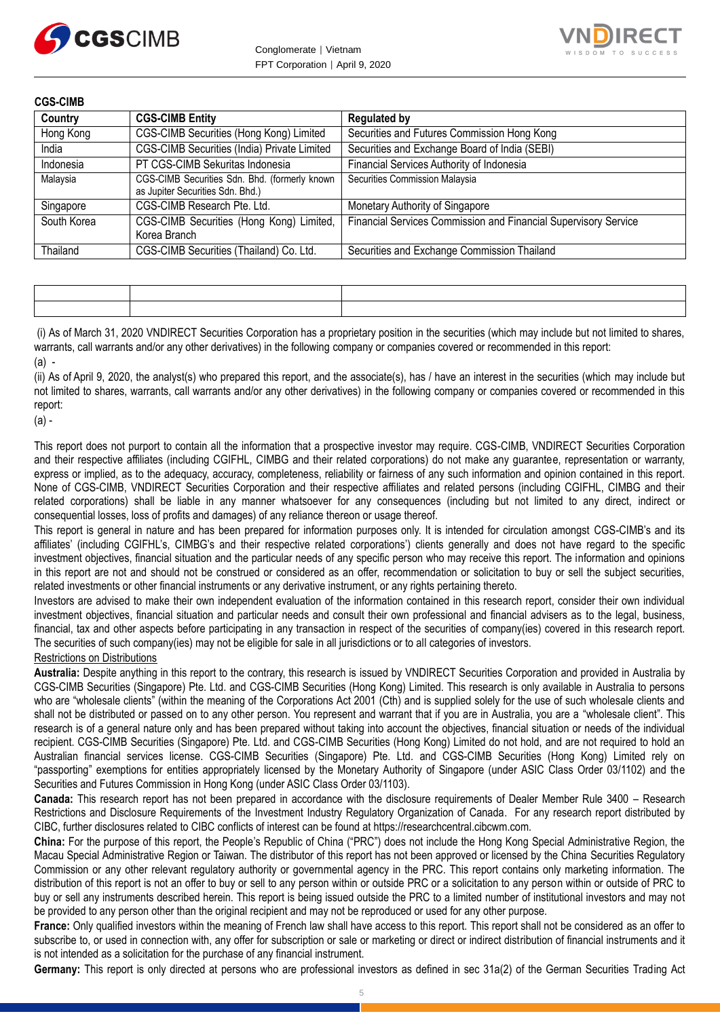



**CGS-CIMB**

| Country     | <b>CGS-CIMB Entity</b>                                                            | <b>Regulated by</b>                                             |
|-------------|-----------------------------------------------------------------------------------|-----------------------------------------------------------------|
| Hong Kong   | CGS-CIMB Securities (Hong Kong) Limited                                           | Securities and Futures Commission Hong Kong                     |
| India       | CGS-CIMB Securities (India) Private Limited                                       | Securities and Exchange Board of India (SEBI)                   |
| Indonesia   | PT CGS-CIMB Sekuritas Indonesia                                                   | Financial Services Authority of Indonesia                       |
| Malaysia    | CGS-CIMB Securities Sdn. Bhd. (formerly known<br>as Jupiter Securities Sdn. Bhd.) | Securities Commission Malaysia                                  |
| Singapore   | CGS-CIMB Research Pte. Ltd.                                                       | Monetary Authority of Singapore                                 |
| South Korea | CGS-CIMB Securities (Hong Kong) Limited,<br>Korea Branch                          | Financial Services Commission and Financial Supervisory Service |
| Thailand    | CGS-CIMB Securities (Thailand) Co. Ltd.                                           | Securities and Exchange Commission Thailand                     |

(i) As of March 31, 2020 VNDIRECT Securities Corporation has a proprietary position in the securities (which may include but not limited to shares, warrants, call warrants and/or any other derivatives) in the following company or companies covered or recommended in this report:  $(a)$  -

(ii) As of April 9, 2020, the analyst(s) who prepared this report, and the associate(s), has / have an interest in the securities (which may include but not limited to shares, warrants, call warrants and/or any other derivatives) in the following company or companies covered or recommended in this report:

(a) -

This report does not purport to contain all the information that a prospective investor may require. CGS-CIMB, VNDIRECT Securities Corporation and their respective affiliates (including CGIFHL, CIMBG and their related corporations) do not make any guarantee, representation or warranty, express or implied, as to the adequacy, accuracy, completeness, reliability or fairness of any such information and opinion contained in this report. None of CGS-CIMB, VNDIRECT Securities Corporation and their respective affiliates and related persons (including CGIFHL, CIMBG and their related corporations) shall be liable in any manner whatsoever for any consequences (including but not limited to any direct, indirect or consequential losses, loss of profits and damages) of any reliance thereon or usage thereof.

This report is general in nature and has been prepared for information purposes only. It is intended for circulation amongst CGS-CIMB's and its affiliates' (including CGIFHL's, CIMBG's and their respective related corporations') clients generally and does not have regard to the specific investment objectives, financial situation and the particular needs of any specific person who may receive this report. The information and opinions in this report are not and should not be construed or considered as an offer, recommendation or solicitation to buy or sell the subject securities, related investments or other financial instruments or any derivative instrument, or any rights pertaining thereto.

Investors are advised to make their own independent evaluation of the information contained in this research report, consider their own individual investment objectives, financial situation and particular needs and consult their own professional and financial advisers as to the legal, business, financial, tax and other aspects before participating in any transaction in respect of the securities of company(ies) covered in this research report. The securities of such company(ies) may not be eligible for sale in all jurisdictions or to all categories of investors.

#### Restrictions on Distributions

**Australia:** Despite anything in this report to the contrary, this research is issued by VNDIRECT Securities Corporation and provided in Australia by CGS-CIMB Securities (Singapore) Pte. Ltd. and CGS-CIMB Securities (Hong Kong) Limited. This research is only available in Australia to persons who are "wholesale clients" (within the meaning of the Corporations Act 2001 (Cth) and is supplied solely for the use of such wholesale clients and shall not be distributed or passed on to any other person. You represent and warrant that if you are in Australia, you are a "wholesale client". This research is of a general nature only and has been prepared without taking into account the objectives, financial situation or needs of the individual recipient. CGS-CIMB Securities (Singapore) Pte. Ltd. and CGS-CIMB Securities (Hong Kong) Limited do not hold, and are not required to hold an Australian financial services license. CGS-CIMB Securities (Singapore) Pte. Ltd. and CGS-CIMB Securities (Hong Kong) Limited rely on "passporting" exemptions for entities appropriately licensed by the Monetary Authority of Singapore (under ASIC Class Order 03/1102) and the Securities and Futures Commission in Hong Kong (under ASIC Class Order 03/1103).

**Canada:** This research report has not been prepared in accordance with the disclosure requirements of Dealer Member Rule 3400 – Research Restrictions and Disclosure Requirements of the Investment Industry Regulatory Organization of Canada. For any research report distributed by CIBC, further disclosures related to CIBC conflicts of interest can be found at https://researchcentral.cibcwm.com.

**China:** For the purpose of this report, the People's Republic of China ("PRC") does not include the Hong Kong Special Administrative Region, the Macau Special Administrative Region or Taiwan. The distributor of this report has not been approved or licensed by the China Securities Regulatory Commission or any other relevant regulatory authority or governmental agency in the PRC. This report contains only marketing information. The distribution of this report is not an offer to buy or sell to any person within or outside PRC or a solicitation to any person within or outside of PRC to buy or sell any instruments described herein. This report is being issued outside the PRC to a limited number of institutional investors and may not be provided to any person other than the original recipient and may not be reproduced or used for any other purpose.

**France:** Only qualified investors within the meaning of French law shall have access to this report. This report shall not be considered as an offer to subscribe to, or used in connection with, any offer for subscription or sale or marketing or direct or indirect distribution of financial instruments and it is not intended as a solicitation for the purchase of any financial instrument.

**Germany:** This report is only directed at persons who are professional investors as defined in sec 31a(2) of the German Securities Trading Act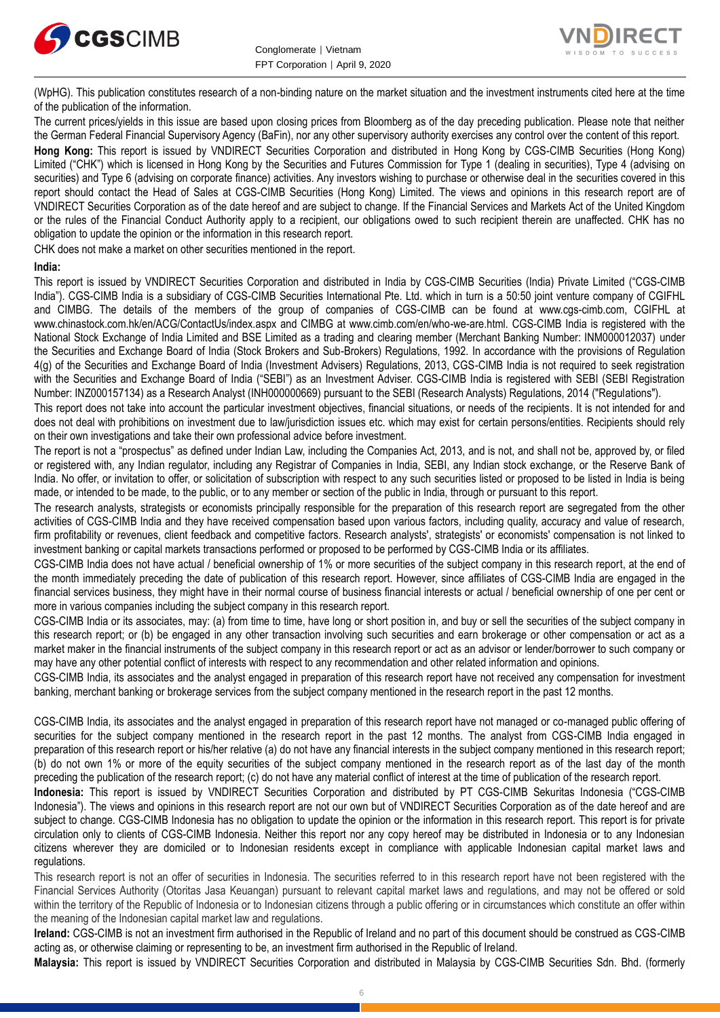



(WpHG). This publication constitutes research of a non-binding nature on the market situation and the investment instruments cited here at the time of the publication of the information.

The current prices/yields in this issue are based upon closing prices from Bloomberg as of the day preceding publication. Please note that neither the German Federal Financial Supervisory Agency (BaFin), nor any other supervisory authority exercises any control over the content of this report.

**Hong Kong:** This report is issued by VNDIRECT Securities Corporation and distributed in Hong Kong by CGS-CIMB Securities (Hong Kong) Limited ("CHK") which is licensed in Hong Kong by the Securities and Futures Commission for Type 1 (dealing in securities), Type 4 (advising on securities) and Type 6 (advising on corporate finance) activities. Any investors wishing to purchase or otherwise deal in the securities covered in this report should contact the Head of Sales at CGS-CIMB Securities (Hong Kong) Limited. The views and opinions in this research report are of VNDIRECT Securities Corporation as of the date hereof and are subject to change. If the Financial Services and Markets Act of the United Kingdom or the rules of the Financial Conduct Authority apply to a recipient, our obligations owed to such recipient therein are unaffected. CHK has no obligation to update the opinion or the information in this research report.

CHK does not make a market on other securities mentioned in the report.

#### **India:**

This report is issued by VNDIRECT Securities Corporation and distributed in India by CGS-CIMB Securities (India) Private Limited ("CGS-CIMB India"). CGS-CIMB India is a subsidiary of CGS-CIMB Securities International Pte. Ltd. which in turn is a 50:50 joint venture company of CGIFHL and CIMBG. The details of the members of the group of companies of CGS-CIMB can be found at www.cgs-cimb.com, CGIFHL at www.chinastock.com.hk/en/ACG/ContactUs/index.aspx and CIMBG at www.cimb.com/en/who-we-are.html. CGS-CIMB India is registered with the National Stock Exchange of India Limited and BSE Limited as a trading and clearing member (Merchant Banking Number: INM000012037) under the Securities and Exchange Board of India (Stock Brokers and Sub-Brokers) Regulations, 1992. In accordance with the provisions of Regulation 4(g) of the Securities and Exchange Board of India (Investment Advisers) Regulations, 2013, CGS-CIMB India is not required to seek registration with the Securities and Exchange Board of India ("SEBI") as an Investment Adviser. CGS-CIMB India is registered with SEBI (SEBI Registration Number: INZ000157134) as a Research Analyst (INH000000669) pursuant to the SEBI (Research Analysts) Regulations, 2014 ("Regulations").

This report does not take into account the particular investment objectives, financial situations, or needs of the recipients. It is not intended for and does not deal with prohibitions on investment due to law/jurisdiction issues etc. which may exist for certain persons/entities. Recipients should rely on their own investigations and take their own professional advice before investment.

The report is not a "prospectus" as defined under Indian Law, including the Companies Act, 2013, and is not, and shall not be, approved by, or filed or registered with, any Indian regulator, including any Registrar of Companies in India, SEBI, any Indian stock exchange, or the Reserve Bank of India. No offer, or invitation to offer, or solicitation of subscription with respect to any such securities listed or proposed to be listed in India is being made, or intended to be made, to the public, or to any member or section of the public in India, through or pursuant to this report.

The research analysts, strategists or economists principally responsible for the preparation of this research report are segregated from the other activities of CGS-CIMB India and they have received compensation based upon various factors, including quality, accuracy and value of research, firm profitability or revenues, client feedback and competitive factors. Research analysts', strategists' or economists' compensation is not linked to investment banking or capital markets transactions performed or proposed to be performed by CGS-CIMB India or its affiliates.

CGS-CIMB India does not have actual / beneficial ownership of 1% or more securities of the subject company in this research report, at the end of the month immediately preceding the date of publication of this research report. However, since affiliates of CGS-CIMB India are engaged in the financial services business, they might have in their normal course of business financial interests or actual / beneficial ownership of one per cent or more in various companies including the subject company in this research report.

CGS-CIMB India or its associates, may: (a) from time to time, have long or short position in, and buy or sell the securities of the subject company in this research report; or (b) be engaged in any other transaction involving such securities and earn brokerage or other compensation or act as a market maker in the financial instruments of the subject company in this research report or act as an advisor or lender/borrower to such company or may have any other potential conflict of interests with respect to any recommendation and other related information and opinions.

CGS-CIMB India, its associates and the analyst engaged in preparation of this research report have not received any compensation for investment banking, merchant banking or brokerage services from the subject company mentioned in the research report in the past 12 months.

CGS-CIMB India, its associates and the analyst engaged in preparation of this research report have not managed or co-managed public offering of securities for the subject company mentioned in the research report in the past 12 months. The analyst from CGS-CIMB India engaged in preparation of this research report or his/her relative (a) do not have any financial interests in the subject company mentioned in this research report; (b) do not own 1% or more of the equity securities of the subject company mentioned in the research report as of the last day of the month preceding the publication of the research report; (c) do not have any material conflict of interest at the time of publication of the research report.

**Indonesia:** This report is issued by VNDIRECT Securities Corporation and distributed by PT CGS-CIMB Sekuritas Indonesia ("CGS-CIMB Indonesia"). The views and opinions in this research report are not our own but of VNDIRECT Securities Corporation as of the date hereof and are subject to change. CGS-CIMB Indonesia has no obligation to update the opinion or the information in this research report. This report is for private circulation only to clients of CGS-CIMB Indonesia. Neither this report nor any copy hereof may be distributed in Indonesia or to any Indonesian citizens wherever they are domiciled or to Indonesian residents except in compliance with applicable Indonesian capital market laws and regulations.

This research report is not an offer of securities in Indonesia. The securities referred to in this research report have not been registered with the Financial Services Authority (Otoritas Jasa Keuangan) pursuant to relevant capital market laws and regulations, and may not be offered or sold within the territory of the Republic of Indonesia or to Indonesian citizens through a public offering or in circumstances which constitute an offer within the meaning of the Indonesian capital market law and regulations.

**Ireland:** CGS-CIMB is not an investment firm authorised in the Republic of Ireland and no part of this document should be construed as CGS-CIMB acting as, or otherwise claiming or representing to be, an investment firm authorised in the Republic of Ireland.

**Malaysia:** This report is issued by VNDIRECT Securities Corporation and distributed in Malaysia by CGS-CIMB Securities Sdn. Bhd. (formerly

6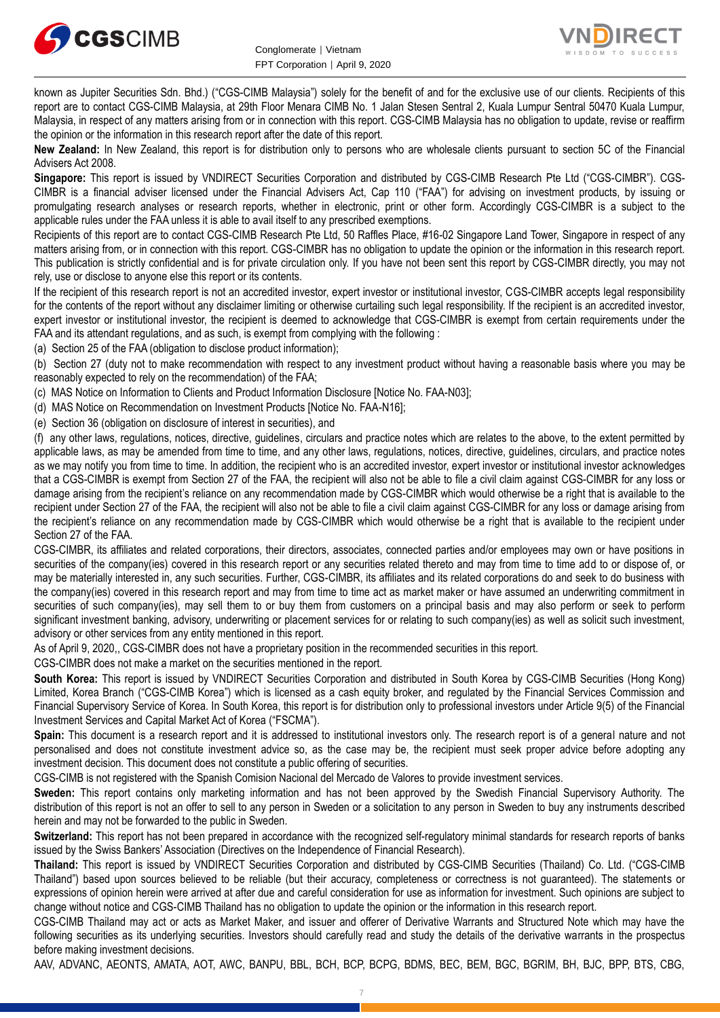



known as Jupiter Securities Sdn. Bhd.) ("CGS-CIMB Malaysia") solely for the benefit of and for the exclusive use of our clients. Recipients of this report are to contact CGS-CIMB Malaysia, at 29th Floor Menara CIMB No. 1 Jalan Stesen Sentral 2, Kuala Lumpur Sentral 50470 Kuala Lumpur, Malaysia, in respect of any matters arising from or in connection with this report. CGS-CIMB Malaysia has no obligation to update, revise or reaffirm the opinion or the information in this research report after the date of this report.

**New Zealand:** In New Zealand, this report is for distribution only to persons who are wholesale clients pursuant to section 5C of the Financial Advisers Act 2008.

**Singapore:** This report is issued by VNDIRECT Securities Corporation and distributed by CGS-CIMB Research Pte Ltd ("CGS-CIMBR"). CGS-CIMBR is a financial adviser licensed under the Financial Advisers Act, Cap 110 ("FAA") for advising on investment products, by issuing or promulgating research analyses or research reports, whether in electronic, print or other form. Accordingly CGS-CIMBR is a subject to the applicable rules under the FAA unless it is able to avail itself to any prescribed exemptions.

Recipients of this report are to contact CGS-CIMB Research Pte Ltd, 50 Raffles Place, #16-02 Singapore Land Tower, Singapore in respect of any matters arising from, or in connection with this report. CGS-CIMBR has no obligation to update the opinion or the information in this research report. This publication is strictly confidential and is for private circulation only. If you have not been sent this report by CGS-CIMBR directly, you may not rely, use or disclose to anyone else this report or its contents.

If the recipient of this research report is not an accredited investor, expert investor or institutional investor, CGS-CIMBR accepts legal responsibility for the contents of the report without any disclaimer limiting or otherwise curtailing such legal responsibility. If the recipient is an accredited investor, expert investor or institutional investor, the recipient is deemed to acknowledge that CGS-CIMBR is exempt from certain requirements under the FAA and its attendant regulations, and as such, is exempt from complying with the following :

(a) Section 25 of the FAA (obligation to disclose product information);

(b) Section 27 (duty not to make recommendation with respect to any investment product without having a reasonable basis where you may be reasonably expected to rely on the recommendation) of the FAA;

(c) MAS Notice on Information to Clients and Product Information Disclosure [Notice No. FAA-N03];

(d) MAS Notice on Recommendation on Investment Products [Notice No. FAA-N16];

(e) Section 36 (obligation on disclosure of interest in securities), and

(f) any other laws, regulations, notices, directive, guidelines, circulars and practice notes which are relates to the above, to the extent permitted by applicable laws, as may be amended from time to time, and any other laws, regulations, notices, directive, guidelines, circulars, and practice notes as we may notify you from time to time. In addition, the recipient who is an accredited investor, expert investor or institutional investor acknowledges that a CGS-CIMBR is exempt from Section 27 of the FAA, the recipient will also not be able to file a civil claim against CGS-CIMBR for any loss or damage arising from the recipient's reliance on any recommendation made by CGS-CIMBR which would otherwise be a right that is available to the recipient under Section 27 of the FAA, the recipient will also not be able to file a civil claim against CGS-CIMBR for any loss or damage arising from the recipient's reliance on any recommendation made by CGS-CIMBR which would otherwise be a right that is available to the recipient under Section 27 of the FAA.

CGS-CIMBR, its affiliates and related corporations, their directors, associates, connected parties and/or employees may own or have positions in securities of the company(ies) covered in this research report or any securities related thereto and may from time to time add to or dispose of, or may be materially interested in, any such securities. Further, CGS-CIMBR, its affiliates and its related corporations do and seek to do business with the company(ies) covered in this research report and may from time to time act as market maker or have assumed an underwriting commitment in securities of such company(ies), may sell them to or buy them from customers on a principal basis and may also perform or seek to perform significant investment banking, advisory, underwriting or placement services for or relating to such company(ies) as well as solicit such investment, advisory or other services from any entity mentioned in this report.

As of April 9, 2020,, CGS-CIMBR does not have a proprietary position in the recommended securities in this report.

CGS-CIMBR does not make a market on the securities mentioned in the report.

**South Korea:** This report is issued by VNDIRECT Securities Corporation and distributed in South Korea by CGS-CIMB Securities (Hong Kong) Limited, Korea Branch ("CGS-CIMB Korea") which is licensed as a cash equity broker, and regulated by the Financial Services Commission and Financial Supervisory Service of Korea. In South Korea, this report is for distribution only to professional investors under Article 9(5) of the Financial Investment Services and Capital Market Act of Korea ("FSCMA").

**Spain:** This document is a research report and it is addressed to institutional investors only. The research report is of a general nature and not personalised and does not constitute investment advice so, as the case may be, the recipient must seek proper advice before adopting any investment decision. This document does not constitute a public offering of securities.

CGS-CIMB is not registered with the Spanish Comision Nacional del Mercado de Valores to provide investment services.

**Sweden:** This report contains only marketing information and has not been approved by the Swedish Financial Supervisory Authority. The distribution of this report is not an offer to sell to any person in Sweden or a solicitation to any person in Sweden to buy any instruments described herein and may not be forwarded to the public in Sweden.

**Switzerland:** This report has not been prepared in accordance with the recognized self-regulatory minimal standards for research reports of banks issued by the Swiss Bankers' Association (Directives on the Independence of Financial Research).

**Thailand:** This report is issued by VNDIRECT Securities Corporation and distributed by CGS-CIMB Securities (Thailand) Co. Ltd. ("CGS-CIMB Thailand") based upon sources believed to be reliable (but their accuracy, completeness or correctness is not guaranteed). The statements or expressions of opinion herein were arrived at after due and careful consideration for use as information for investment. Such opinions are subject to change without notice and CGS-CIMB Thailand has no obligation to update the opinion or the information in this research report.

CGS-CIMB Thailand may act or acts as Market Maker, and issuer and offerer of Derivative Warrants and Structured Note which may have the following securities as its underlying securities. Investors should carefully read and study the details of the derivative warrants in the prospectus before making investment decisions.

AAV, ADVANC, AEONTS, AMATA, AOT, AWC, BANPU, BBL, BCH, BCP, BCPG, BDMS, BEC, BEM, BGC, BGRIM, BH, BJC, BPP, BTS, CBG,

7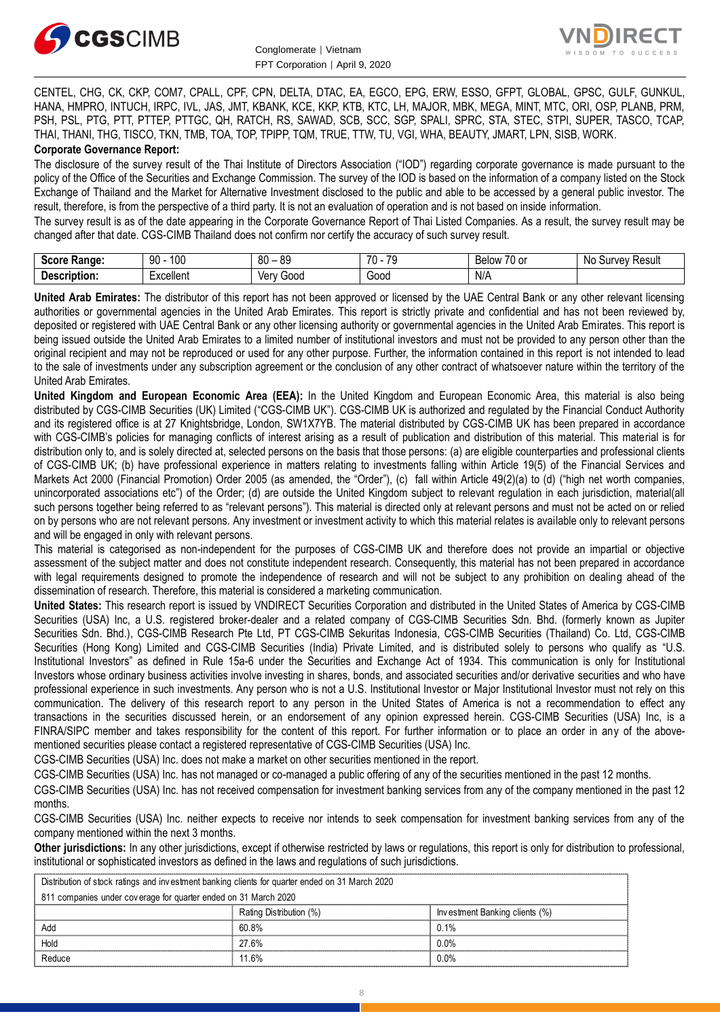



CENTEL, CHG, CK, CKP, COM7, CPALL, CPF, CPN, DELTA, DTAC, EA, EGCO, EPG, ERW, ESSO, GFPT, GLOBAL, GPSC, GULF, GUNKUL, HANA, HMPRO, INTUCH, IRPC, IVL, JAS, JMT, KBANK, KCE, KKP, KTB, KTC, LH, MAJOR, MBK, MEGA, MINT, MTC, ORI, OSP, PLANB, PRM, PSH, PSL, PTG, PTT, PTTEP, PTTGC, QH, RATCH, RS, SAWAD, SCB, SCC, SGP, SPALI, SPRC, STA, STEC, STPI, SUPER, TASCO, TCAP, THAI, THANI, THG, TISCO, TKN, TMB, TOA, TOP, TPIPP, TQM, TRUE, TTW, TU, VGI, WHA, BEAUTY, JMART, LPN, SISB, WORK. **Corporate Governance Report:**

The disclosure of the survey result of the Thai Institute of Directors Association ("IOD") regarding corporate governance is made pursuant to the policy of the Office of the Securities and Exchange Commission. The survey of the IOD is based on the information of a company listed on the Stock Exchange of Thailand and the Market for Alternative Investment disclosed to the public and able to be accessed by a general public investor. The result, therefore, is from the perspective of a third party. It is not an evaluation of operation and is not based on inside information.

The survey result is as of the date appearing in the Corporate Governance Report of Thai Listed Companies. As a result, the survey result may be changed after that date. CGS-CIMB Thailand does not confirm nor certify the accuracy of such survey result.

| <b>Score</b><br><b>Range:</b>   | م∩1<br>90<br>טע | $^{\circ}$<br>ЯC<br>vu | 70<br>$\overline{70}$<br>л.<br>. . | $\overline{\phantom{a}}$<br>.∪ or<br>Relow | Result<br>י הי<br>NG<br>$\overline{\phantom{a}}$<br>.<br>.<br> |
|---------------------------------|-----------------|------------------------|------------------------------------|--------------------------------------------|----------------------------------------------------------------|
| <b>Description</b><br>eription. | xcellent        | ∨en<br>000ز            | $\overline{\phantom{a}}$<br>G000   | N/A                                        |                                                                |

**United Arab Emirates:** The distributor of this report has not been approved or licensed by the UAE Central Bank or any other relevant licensing authorities or governmental agencies in the United Arab Emirates. This report is strictly private and confidential and has not been reviewed by, deposited or registered with UAE Central Bank or any other licensing authority or governmental agencies in the United Arab Emirates. This report is being issued outside the United Arab Emirates to a limited number of institutional investors and must not be provided to any person other than the original recipient and may not be reproduced or used for any other purpose. Further, the information contained in this report is not intended to lead to the sale of investments under any subscription agreement or the conclusion of any other contract of whatsoever nature within the territory of the United Arab Emirates.

**United Kingdom and European Economic Area (EEA):** In the United Kingdom and European Economic Area, this material is also being distributed by CGS-CIMB Securities (UK) Limited ("CGS-CIMB UK"). CGS-CIMB UK is authorized and regulated by the Financial Conduct Authority and its registered office is at 27 Knightsbridge, London, SW1X7YB. The material distributed by CGS-CIMB UK has been prepared in accordance with CGS-CIMB's policies for managing conflicts of interest arising as a result of publication and distribution of this material. This material is for distribution only to, and is solely directed at, selected persons on the basis that those persons: (a) are eligible counterparties and professional clients of CGS-CIMB UK; (b) have professional experience in matters relating to investments falling within Article 19(5) of the Financial Services and Markets Act 2000 (Financial Promotion) Order 2005 (as amended, the "Order"), (c) fall within Article 49(2)(a) to (d) ("high net worth companies, unincorporated associations etc") of the Order; (d) are outside the United Kingdom subject to relevant regulation in each jurisdiction, material(all such persons together being referred to as "relevant persons"). This material is directed only at relevant persons and must not be acted on or relied on by persons who are not relevant persons. Any investment or investment activity to which this material relates is available only to relevant persons and will be engaged in only with relevant persons.

This material is categorised as non-independent for the purposes of CGS-CIMB UK and therefore does not provide an impartial or objective assessment of the subject matter and does not constitute independent research. Consequently, this material has not been prepared in accordance with legal requirements designed to promote the independence of research and will not be subject to any prohibition on dealing ahead of the dissemination of research. Therefore, this material is considered a marketing communication.

**United States:** This research report is issued by VNDIRECT Securities Corporation and distributed in the United States of America by CGS-CIMB Securities (USA) Inc, a U.S. registered broker-dealer and a related company of CGS-CIMB Securities Sdn. Bhd. (formerly known as Jupiter Securities Sdn. Bhd.), CGS-CIMB Research Pte Ltd, PT CGS-CIMB Sekuritas Indonesia, CGS-CIMB Securities (Thailand) Co. Ltd, CGS-CIMB Securities (Hong Kong) Limited and CGS-CIMB Securities (India) Private Limited, and is distributed solely to persons who qualify as "U.S. Institutional Investors" as defined in Rule 15a-6 under the Securities and Exchange Act of 1934. This communication is only for Institutional Investors whose ordinary business activities involve investing in shares, bonds, and associated securities and/or derivative securities and who have professional experience in such investments. Any person who is not a U.S. Institutional Investor or Major Institutional Investor must not rely on this communication. The delivery of this research report to any person in the United States of America is not a recommendation to effect any transactions in the securities discussed herein, or an endorsement of any opinion expressed herein. CGS-CIMB Securities (USA) Inc, is a FINRA/SIPC member and takes responsibility for the content of this report. For further information or to place an order in any of the abovementioned securities please contact a registered representative of CGS-CIMB Securities (USA) Inc.

CGS-CIMB Securities (USA) Inc. does not make a market on other securities mentioned in the report.

CGS-CIMB Securities (USA) Inc. has not managed or co-managed a public offering of any of the securities mentioned in the past 12 months.

CGS-CIMB Securities (USA) Inc. has not received compensation for investment banking services from any of the company mentioned in the past 12 months.

CGS-CIMB Securities (USA) Inc. neither expects to receive nor intends to seek compensation for investment banking services from any of the company mentioned within the next 3 months.

**Other jurisdictions:** In any other jurisdictions, except if otherwise restricted by laws or regulations, this report is only for distribution to professional, institutional or sophisticated investors as defined in the laws and regulations of such jurisdictions.

| Distribution of stock ratings and investment banking clients for quarter ended on 31 March 2020 |                         |                                |  |  |  |  |  |
|-------------------------------------------------------------------------------------------------|-------------------------|--------------------------------|--|--|--|--|--|
| 811 companies under coverage for quarter ended on 31 March 2020                                 |                         |                                |  |  |  |  |  |
|                                                                                                 | Rating Distribution (%) | Investment Banking clients (%) |  |  |  |  |  |
| Add                                                                                             | 60.8%                   | 0.1%                           |  |  |  |  |  |
| Hold                                                                                            | 27.6%                   | 0.0%                           |  |  |  |  |  |
| Reduce                                                                                          | 11.6%                   | $0.0\%$                        |  |  |  |  |  |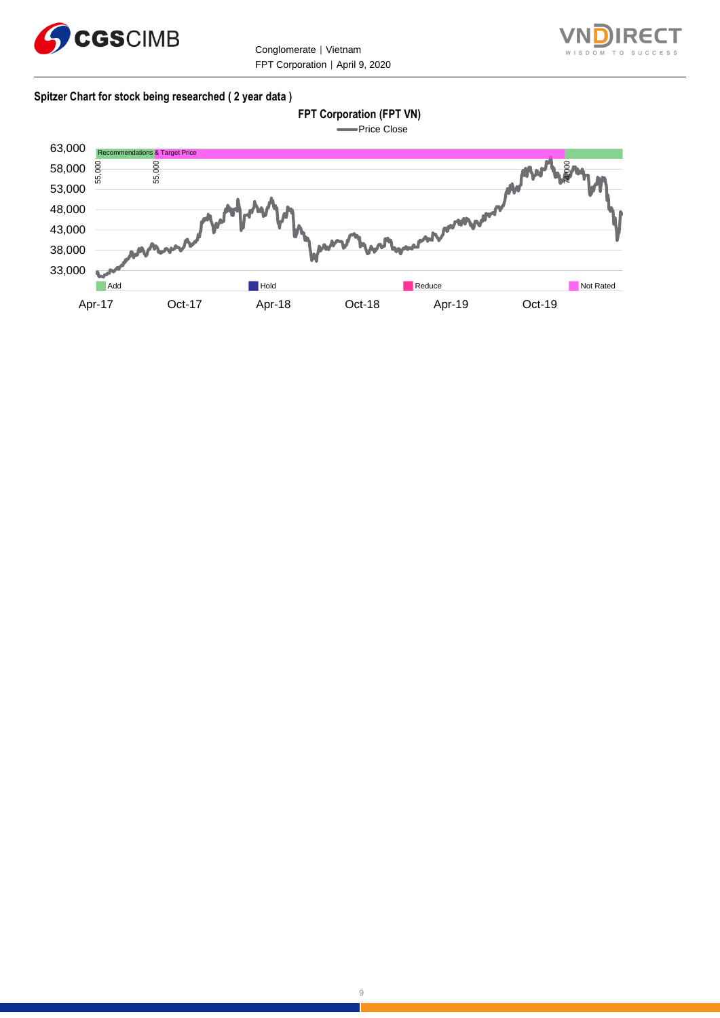



#### **Spitzer Chart for stock being researched ( 2 year data )**

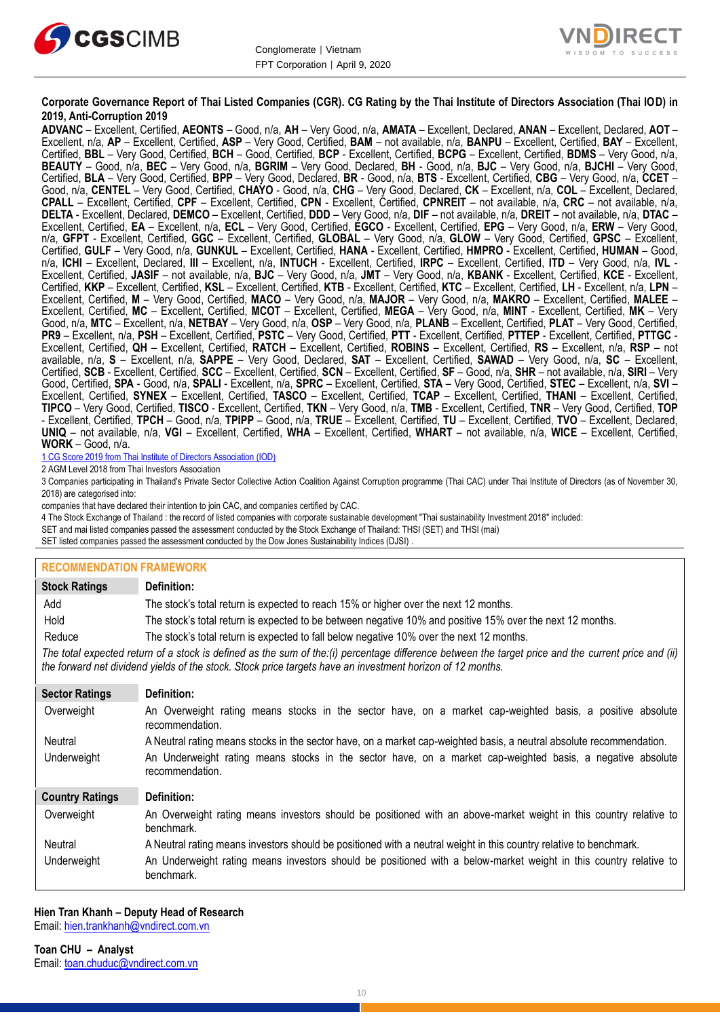



#### **Corporate Governance Report of Thai Listed Companies (CGR). CG Rating by the Thai Institute of Directors Association (Thai IOD) in 2019, Anti-Corruption 2019**

**ADVANC** – Excellent, Certified, **AEONTS** – Good, n/a, **AH** – Very Good, n/a, **AMATA** – Excellent, Declared, **ANAN** – Excellent, Declared, **AOT** – Excellent, n/a, **AP** – Excellent, Certified, **ASP** – Very Good, Certified, **BAM** – not available, n/a, **BANPU** – Excellent, Certified, **BAY** – Excellent, Certified, **BBL** – Very Good, Certified, **BCH** – Good, Certified, **BCP** - Excellent, Certified, **BCPG** – Excellent, Certified, **BDMS** – Very Good, n/a, **BEAUTY** – Good, n/a, **BEC** – Very Good, n/a, **BGRIM** – Very Good, Declared, **BH** - Good, n/a, **BJC** – Very Good, n/a, **BJCHI** – Very Good, Certified, **BLA** – Very Good, Certified, **BPP** – Very Good, Declared, **BR** - Good, n/a, **BTS** - Excellent, Certified, **CBG** – Very Good, n/a, **CCET** – Good, n/a, **CENTEL** – Very Good, Certified, **CHAYO** - Good, n/a, **CHG** – Very Good, Declared, **CK** – Excellent, n/a, **COL** – Excellent, Declared, **CPALL** – Excellent, Certified, **CPF** – Excellent, Certified, **CPN** - Excellent, Certified, **CPNREIT** – not available, n/a, **CRC** – not available, n/a, **DELTA** - Excellent, Declared, **DEMCO** – Excellent, Certified, **DDD** – Very Good, n/a, **DIF** – not available, n/a, **DREIT** – not available, n/a, **DTAC** – Excellent, Certified, **EA** – Excellent, n/a, **ECL** – Very Good, Certified, **EGCO** - Excellent, Certified, **EPG** – Very Good, n/a, **ERW** – Very Good, n/a, **GFPT** - Excellent, Certified, **GGC** – Excellent, Certified, **GLOBAL** – Very Good, n/a, **GLOW** – Very Good, Certified, **GPSC** – Excellent, Certified, **GULF** – Very Good, n/a, **GUNKUL** – Excellent, Certified, **HANA** - Excellent, Certified, **HMPRO** - Excellent, Certified, **HUMAN** – Good, n/a, **ICHI** – Excellent, Declared, **III** – Excellent, n/a, **INTUCH** - Excellent, Certified, **IRPC** – Excellent, Certified, **ITD** – Very Good, n/a, **IVL** - Excellent, Certified, **JASIF** – not available, n/a, **BJC** – Very Good, n/a, **JMT** – Very Good, n/a, **KBANK** - Excellent, Certified, **KCE** - Excellent, Certified, **KKP** – Excellent, Certified, **KSL** – Excellent, Certified, **KTB** - Excellent, Certified, **KTC** – Excellent, Certified, **LH** - Excellent, n/a, **LPN** – Excellent, Certified, **M** – Very Good, Certified, **MACO** – Very Good, n/a, **MAJOR** – Very Good, n/a, **MAKRO** – Excellent, Certified, **MALEE** – Excellent, Certified, **MC** – Excellent, Certified, **MCOT** – Excellent, Certified, **MEGA** – Very Good, n/a, **MINT** - Excellent, Certified, **MK** – Very Good, n/a, **MTC** – Excellent, n/a, **NETBAY** – Very Good, n/a, **OSP** – Very Good, n/a, **PLANB** – Excellent, Certified, **PLAT** – Very Good, Certified, **PR9** – Excellent, n/a, **PSH** – Excellent, Certified, **PSTC** – Very Good, Certified, **PTT** - Excellent, Certified, **PTTEP** - Excellent, Certified, **PTTGC** - Excellent, Certified, **QH** – Excellent, Certified, **RATCH** – Excellent, Certified, **ROBINS** – Excellent, Certified, **RS** – Excellent, n/a, **RSP** – not available, n/a, **S** – Excellent, n/a, **SAPPE** – Very Good, Declared, **SAT** – Excellent, Certified, **SAWAD** – Very Good, n/a, **SC** – Excellent, Certified, **SCB** - Excellent, Certified, **SCC** – Excellent, Certified, **SCN** – Excellent, Certified, **SF** – Good, n/a, **SHR** – not available, n/a, **SIRI** – Very Good, Certified, **SPA** - Good, n/a, **SPALI** - Excellent, n/a, **SPRC** – Excellent, Certified, **STA** – Very Good, Certified, **STEC** – Excellent, n/a, **SVI** – Excellent, Certified, **SYNEX** – Excellent, Certified, **TASCO** – Excellent, Certified, **TCAP** – Excellent, Certified, **THANI** – Excellent, Certified, **TIPCO** – Very Good, Certified, **TISCO** - Excellent, Certified, **TKN** – Very Good, n/a, **TMB** - Excellent, Certified, **TNR** – Very Good, Certified, **TOP** - Excellent, Certified, **TPCH** – Good, n/a, **TPIPP** – Good, n/a, **TRUE** – Excellent, Certified, **TU** – Excellent, Certified, **TVO** – Excellent, Declared, **UNIQ** – not available, n/a, **VGI** – Excellent, Certified, **WHA** – Excellent, Certified, **WHART** – not available, n/a, **WICE** – Excellent, Certified, **WORK** – Good, n/a.

1 CG Score 2019 from Thai Institute of Directors Association (IOD)

2 AGM Level 2018 from Thai Investors Association

3 Companies participating in Thailand's Private Sector Collective Action Coalition Against Corruption programme (Thai CAC) under Thai Institute of Directors (as of November 30, 2018) are categorised into:

companies that have declared their intention to join CAC, and companies certified by CAC.

4 [The Stock Exchange of Thailand : the record of listed companies with corporate sustainable development "Thai sustainability Investment 2018" included:](http://www.set.or.th/sustainable_dev/en/sr/sri/tsi_p1.html)

SET and mai listed companies passed the assessment conducted by the Stock Exchange of Thailand: THSI (SET) and THSI (mai)

SET listed companies passed the assessment conducted by the Dow Jones Sustainability Indices (DJSI)

#### **RECOMMENDATION FRAMEWORK**

| <b>Stock Ratings</b>                                                                                                                                                                                                                                              | Definition:                                                                                                                     |
|-------------------------------------------------------------------------------------------------------------------------------------------------------------------------------------------------------------------------------------------------------------------|---------------------------------------------------------------------------------------------------------------------------------|
| Add                                                                                                                                                                                                                                                               | The stock's total return is expected to reach 15% or higher over the next 12 months.                                            |
| Hold                                                                                                                                                                                                                                                              | The stock's total return is expected to be between negative 10% and positive 15% over the next 12 months.                       |
| Reduce                                                                                                                                                                                                                                                            | The stock's total return is expected to fall below negative 10% over the next 12 months.                                        |
| The total expected return of a stock is defined as the sum of the:(i) percentage difference between the target price and the current price and (ii)<br>the forward net dividend yields of the stock. Stock price targets have an investment horizon of 12 months. |                                                                                                                                 |
| <b>Sector Ratings</b>                                                                                                                                                                                                                                             | Definition:                                                                                                                     |
| Overweight                                                                                                                                                                                                                                                        | An Overweight rating means stocks in the sector have, on a market cap-weighted basis, a positive absolute<br>recommendation.    |
| Neutral                                                                                                                                                                                                                                                           | A Neutral rating means stocks in the sector have, on a market cap-weighted basis, a neutral absolute recommendation.            |
| Underweight                                                                                                                                                                                                                                                       | An Underweight rating means stocks in the sector have, on a market cap-weighted basis, a negative absolute<br>recommendation.   |
| <b>Country Ratings</b>                                                                                                                                                                                                                                            | Definition:                                                                                                                     |
| Overweight                                                                                                                                                                                                                                                        | An Overweight rating means investors should be positioned with an above-market weight in this country relative to<br>benchmark. |
| Neutral                                                                                                                                                                                                                                                           | A Neutral rating means investors should be positioned with a neutral weight in this country relative to benchmark.              |
| Underweight                                                                                                                                                                                                                                                       | An Underweight rating means investors should be positioned with a below-market weight in this country relative to<br>benchmark. |

# **Hien Tran Khanh – Deputy Head of Research**

Email: [hien.trankhanh@vndirect.com.vn](mailto:hien.trankhanh@vndirect.com.vn)